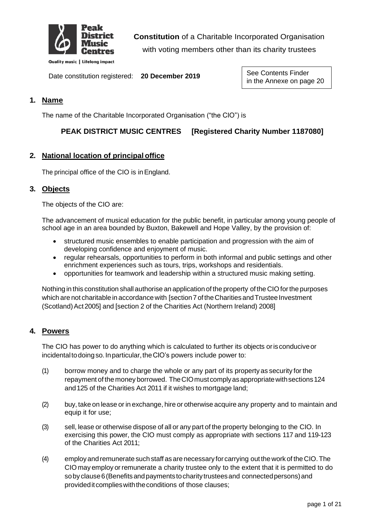

**Constitution** of a Charitable Incorporated Organisation with voting members other than its charity trustees

Date constitution registered: **20 December 2019**

See Contents Finder in the Annexe on page 20

# **1. Name**

The name of the Charitable Incorporated Organisation ("the CIO") is

# **PEAK DISTRICT MUSIC CENTRES [Registered Charity Number 1187080]**

## **2. National location of principal office**

The principal office of the CIO is inEngland.

### **3. Objects**

The objects of the CIO are:

The advancement of musical education for the public benefit, in particular among young people of school age in an area bounded by Buxton, Bakewell and Hope Valley, by the provision of:

- structured music ensembles to enable participation and progression with the aim of developing confidence and enjoyment of music.
- regular rehearsals, opportunities to perform in both informal and public settings and other enrichment experiences such as tours, trips, workshops and residentials.
- opportunities for teamwork and leadership within a structured music making setting.

Nothing in this constitution shall authorise an application of the property of the CIO for the purposes which are not charitable in accordance with [section 7 of the Charities and Trustee Investment (Scotland)Act2005] and [section 2 of the Charities Act (Northern Ireland) 2008]

## **4. Powers**

The CIO has power to do anything which is calculated to further its objects orisconduciveor incidental to doing so. In particular, the CIO's powers include power to:

- (1) borrow money and to charge the whole or any part of its property as security for the repayment of the money borrowed. TheCIOmustcomplyasappropriatewithsections124 and125 of the Charities Act 2011 if it wishes to mortgage land;
- (2) buy, take on lease or in exchange, hire or otherwise acquire any property and to maintain and equip it for use;
- (3) sell, lease or otherwise dispose of all or any part of the property belonging to the CIO. In exercising this power, the CIO must comply as appropriate with sections 117 and 119-123 of the Charities Act 2011;
- (4) employ and remunerate suchstaff as are necessary for carrying out the work of theCIO.The CIO may employ or remunerate a charity trustee only to the extent that it is permitted to do soby clause 6 (Benefits and payments to charity trustees and connected persons) and provideditcomplieswiththeconditions of those clauses;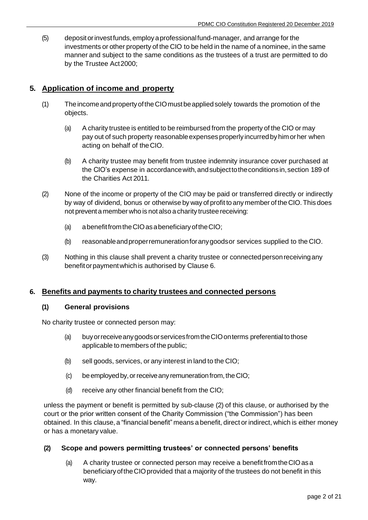(5) depositorinvestfunds,employaprofessionalfund-manager, and arrange for the investments or other property of the CIO to be held in the name of a nominee, in the same manner and subject to the same conditions as the trustees of a trust are permitted to do by the Trustee Act2000;

# **5. Application of income and property**

- (1) TheincomeandpropertyoftheCIOmustbeappliedsolely towards the promotion of the objects.
	- (a) A charity trustee is entitled to be reimbursed from the property of the CIO or may pay out of such property reasonableexpensesproperly incurredbyhimorher when acting on behalf of theCIO.
	- (b) A charity trustee may benefit from trustee indemnity insurance cover purchased at the CIO's expense in accordancewith,andsubjecttotheconditionsin,section 189 of the Charities Act 2011.
- (2) None of the income or property of the CIO may be paid or transferred directly or indirectly by way of dividend, bonus or otherwise by way of profit to any member of the CIO. This does not prevent a member who is not also a charity trustee receiving:
	- (a) abenefitfromtheCIOasabeneficiaryoftheCIO;
	- (b) reasonableandproperremunerationforanygoodsor services supplied to the CIO.
- (3) Nothing in this clause shall prevent a charity trustee or connectedpersonreceivingany benefitorpaymentwhichis authorised by Clause 6.

## **6. Benefits and payments to charity trustees and connected persons**

### **(1) General provisions**

No charity trustee or connected person may:

- (a) buyorreceiveanygoodsorservicesfromtheCIOonterms preferentialto those applicable to members of the public;
- (b) sell goods, services, or any interest in land to the CIO;
- (c) be employedby,orreceiveany remunerationfrom,theCIO;
- (d) receive any other financial benefit from the CIO;

unless the payment or benefit is permitted by sub-clause (2) of this clause, or authorised by the court or the prior written consent of the Charity Commission ("the Commission") has been obtained. In this clause, a "financial benefit" means a benefit, direct or indirect, which is either money or has a monetary value.

### **(2) Scope and powers permitting trustees' or connected persons' benefits**

(a) A charity trustee or connected person may receive a benefitfromtheCIOasa beneficiaryoftheCIOprovided that a majority of the trustees do not benefit in this way.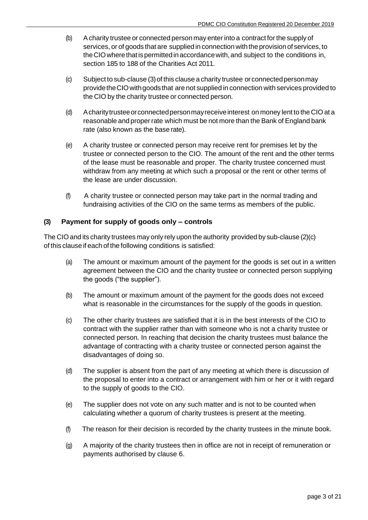- (b) Acharity trustee or connected person may enterinto a contract for the supply of services, or of goods that are supplied in connection with theprovision of services, to the CIO where that is permitted in accordance with, and subject to the conditions in, section 185 to 188 of the Charities Act 2011.
- (c) Subject to sub-clause (3)of this clause a charity trustee or connectedpersonmay providetheCIOwithgoodsthat are not supplied in connection with services provided to the CIO by the charity trustee or connected person.
- (d) Acharitytrusteeorconnectedpersonmayreceiveinterest on money lent to the CIO at a reasonable and proper rate which must be not more than the Bank of England bank rate (also known as the base rate).
- (e) A charity trustee or connected person may receive rent for premises let by the trustee or connected person to the CIO. The amount of the rent and the other terms of the lease must be reasonable and proper. The charity trustee concerned must withdraw from any meeting at which such a proposal or the rent or other terms of the lease are under discussion.
- (f) A charity trustee or connected person may take part in the normal trading and fundraising activities of the CIO on the same terms as members of the public.

## **(3) Payment for supply of goods only – controls**

The CIO and its charity trustees may only rely upon the authority provided by sub-clause (2)(c) of this clause if each of the following conditions is satisfied:

- (a) The amount or maximum amount of the payment for the goods is set out in a written agreement between the CIO and the charity trustee or connected person supplying the goods ("the supplier").
- (b) The amount or maximum amount of the payment for the goods does not exceed what is reasonable in the circumstances for the supply of the goods in question.
- (c) The other charity trustees are satisfied that it is in the best interests of the CIO to contract with the supplier rather than with someone who is not a charity trustee or connected person. In reaching that decision the charity trustees must balance the advantage of contracting with a charity trustee or connected person against the disadvantages of doing so.
- (d) The supplier is absent from the part of any meeting at which there is discussion of the proposal to enter into a contract or arrangement with him or her or it with regard to the supply of goods to the CIO.
- (e) The supplier does not vote on any such matter and is not to be counted when calculating whether a quorum of charity trustees is present at the meeting.
- (f) The reason for their decision is recorded by the charity trustees in the minute book.
- (g) A majority of the charity trustees then in office are not in receipt of remuneration or payments authorised by clause 6.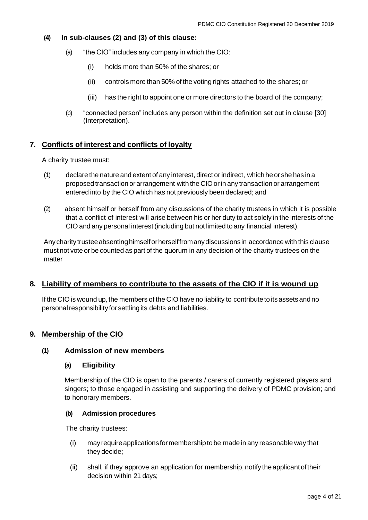### **(4) In sub-clauses (2) and (3) of this clause:**

- (a) "the CIO" includes any company in which the CIO:
	- (i) holds more than 50% of the shares; or
	- (ii) controls more than 50% of the voting rights attached to the shares; or
	- (iii) has the right to appoint one or more directors to the board of the company;
- (b) "connected person" includes any person within the definition set out in clause [30] (Interpretation).

### **7. Conflicts of interest and conflicts of loyalty**

A charity trustee must:

- (1) declare the nature and extent of any interest, direct or indirect, which he or she has in a proposedtransaction or arrangement with the CIOor in any transaction or arrangement entered into by the CIO which has not previously been declared; and
- (2) absent himself or herself from any discussions of the charity trustees in which it is possible that a conflict of interest will arise between his or her duty to act solely in the interests of the CIO and any personal interest (including but not limited to any financial interest).

Anycharitytrusteeabsentinghimselforherselffromanydiscussionsin accordance with this clause must not vote or be counted as part of the quorum in any decision of the charity trustees on the matter

## **8. Liability of members to contribute to the assets of the CIO if it is wound up**

If the CIO is wound up, the members of the CIO have no liability to contribute to its assets and no personal responsibility for settling its debts and liabilities.

## **9. Membership of the CIO**

#### **(1) Admission of new members**

#### **(a) Eligibility**

Membership of the CIO is open to the parents / carers of currently registered players and singers; to those engaged in assisting and supporting the delivery of PDMC provision; and to honorary members.

#### **(b) Admission procedures**

The charity trustees:

- (i) mayrequireapplicationsformembershiptobe made in any reasonable way that they decide;
- (ii) shall, if they approve an application for membership, notify the applicant oftheir decision within 21 days;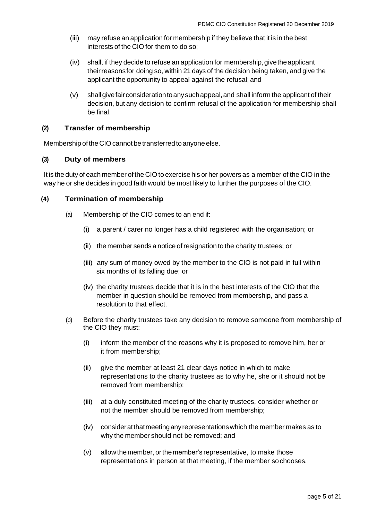- (iii) may refuse an application for membership if they believe that it is in the best interests of the CIO for them to do so;
- (iv) shall, if they decide to refuse an application for membership,givetheapplicant theirreasonsfor doing so, within 21 days of the decision being taken, and give the applicant the opportunity to appeal against the refusal; and
- (v) shallgivefairconsiderationtoanysuchappeal,and shall inform the applicant of their decision, but any decision to confirm refusal of the application for membership shall be final.

#### **(2) Transfer of membership**

Membership of the CIO cannot be transferred to anyone else.

#### **(3) Duty of members**

It is the duty of each member of the CIO to exercise his or her powers as a member of the CIO in the way he or she decides in good faith would be most likely to further the purposes of the CIO.

#### **(4) Termination of membership**

- (a) Membership of the CIO comes to an end if:
	- (i) a parent / carer no longer has a child registered with the organisation; or
	- (ii) the member sends a notice ofresignation to the charity trustees; or
	- (iii) any sum of money owed by the member to the CIO is not paid in full within six months of its falling due; or
	- (iv) the charity trustees decide that it is in the best interests of the CIO that the member in question should be removed from membership, and pass a resolution to that effect.
- (b) Before the charity trustees take any decision to remove someone from membership of the CIO they must:
	- (i) inform the member of the reasons why it is proposed to remove him, her or it from membership;
	- (ii) give the member at least 21 clear days notice in which to make representations to the charity trustees as to why he, she or it should not be removed from membership;
	- (iii) at a duly constituted meeting of the charity trustees, consider whether or not the member should be removed from membership;
	- (iv) consideratthatmeetinganyrepresentationswhich the member makes as to why the member should not be removed; and
	- (v) allowthe member, orthemember's representative, to make those representations in person at that meeting, if the member sochooses.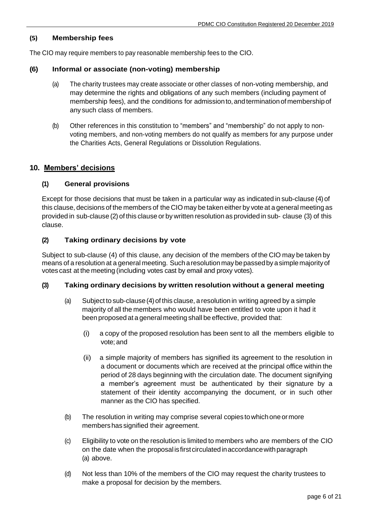### **(5) Membership fees**

The CIO may require members to pay reasonable membership fees to the CIO.

#### **(6) Informal or associate (non-voting) membership**

- (a) The charity trustees may create associate or other classes of non-voting membership, and may determine the rights and obligations of any such members (including payment of membership fees), and the conditions for admission to, and termination of membership of any such class of members.
- (b) Other references in this constitution to "members" and "membership" do not apply to nonvoting members, and non-voting members do not qualify as members for any purpose under the Charities Acts, General Regulations or Dissolution Regulations.

### **10. Members' decisions**

#### **(1) General provisions**

Except for those decisions that must be taken in a particular way as indicated in sub-clause (4)of this clause, decisions of the members of the CIO may be taken either by vote at a general meeting as provided in sub-clause (2) of this clause or by written resolution as provided in sub- clause (3) of this clause.

#### **(2) Taking ordinary decisions by vote**

Subject to sub-clause (4) of this clause, any decision of the members of the CIO may be taken by means of a resolution at a general meeting. Sucharesolutionmay bepassedby asimplemajorityof votes cast at the meeting (including votes cast by email and proxy votes).

#### **(3) Taking ordinary decisions by written resolution without a general meeting**

- (a) Subject to sub-clause (4)of this clause, a resolution in writing agreed by a simple majority of all the members who would have been entitled to vote upon it had it been proposed at a general meeting shall be effective, provided that:
	- (i) a copy of the proposed resolution has been sent to all the members eligible to vote; and
	- (ii) a simple majority of members has signified its agreement to the resolution in a document or documents which are received at the principal office within the period of 28 days beginning with the circulation date. The document signifying a member's agreement must be authenticated by their signature by a statement of their identity accompanying the document, or in such other manner as the CIO has specified.
- (b) The resolution in writing may comprise several copies towhich oneormore members has signified their agreement.
- (c) Eligibility to vote on the resolution is limited to members who are members of the CIO on the date when the proposal isfirstcirculatedinaccordancewithparagraph (a) above.
- (d) Not less than 10% of the members of the CIO may request the charity trustees to make a proposal for decision by the members.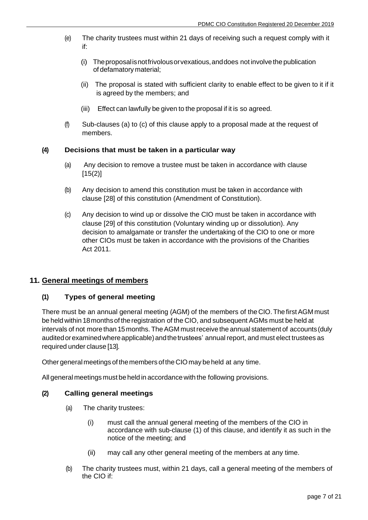- (e) The charity trustees must within 21 days of receiving such a request comply with it if:
	- (i) Theproposalisnotfrivolousorvexatious,anddoes not involve the publication of defamatory material;
	- (ii) The proposal is stated with sufficient clarity to enable effect to be given to it if it is agreed by the members; and
	- (iii) Effect can lawfully be given to the proposal if it is so agreed.
- (f) Sub-clauses (a) to (c) of this clause apply to a proposal made at the request of members.

## **(4) Decisions that must be taken in a particular way**

- (a) Any decision to remove a trustee must be taken in accordance with clause  $[15(2)]$
- (b) Any decision to amend this constitution must be taken in accordance with clause [28] of this constitution (Amendment of Constitution).
- (c) Any decision to wind up or dissolve the CIO must be taken in accordance with clause [29] of this constitution (Voluntary winding up or dissolution). Any decision to amalgamate or transfer the undertaking of the CIO to one or more other CIOs must be taken in accordance with the provisions of the Charities Act 2011.

## **11. General meetings of members**

## **(1) Types of general meeting**

There must be an annual general meeting (AGM) of the members of the CIO. The first AGM must be held within 18monthsof theregistration of the CIO, and subsequent AGMs must be held at intervals of not more than 15 months. The AGM must receive the annual statement of accounts (duly audited or examined where applicable) and the trustees' annual report, and must elect trustees as required under clause [13].

Other general meetings of the members of the CIO may be held at any time.

All general meetings must be held in accordancewith the following provisions.

## **(2) Calling general meetings**

- (a) The charity trustees:
	- (i) must call the annual general meeting of the members of the CIO in accordance with sub-clause (1) of this clause, and identify it as such in the notice of the meeting; and
	- (ii) may call any other general meeting of the members at any time.
- (b) The charity trustees must, within 21 days, call a general meeting of the members of the CIO if: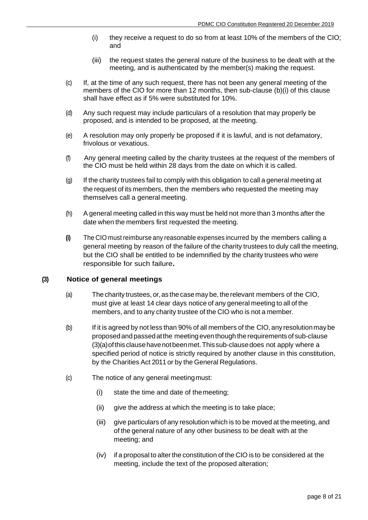- (i) they receive a request to do so from at least 10% of the members of the CIO; and
- (iii) the request states the general nature of the business to be dealt with at the meeting, and is authenticated by the member(s) making the request.
- (c) If, at the time of any such request, there has not been any general meeting of the members of the CIO for more than 12 months, then sub-clause (b)(i) of this clause shall have effect as if 5% were substituted for 10%.
- (d) Any such request may include particulars of a resolution that may properly be proposed, and is intended to be proposed, at the meeting.
- (e) A resolution may only properly be proposed if it is lawful, and is not defamatory, frivolous or vexatious.
- (f) Any general meeting called by the charity trustees at the request of the members of the CIO must be held within 28 days from the date on which it is called.
- $(q)$  If the charity trustees fail to comply with this obligation to call a general meeting at the request of its members, then the members who requested the meeting may themselves call a general meeting.
- (h) A general meeting called in this way must be held not more than 3 months after the date when the members first requested the meeting.
- **(i)** The CIO must reimburse any reasonable expenses incurred by the members calling a general meeting by reason of the failure of the charity trustees to duly call the meeting, but the CIO shall be entitled to be indemnified by the charity trustees who were responsible for such failure**.**

#### **(3) Notice of general meetings**

- (a) The charity trustees, or,as thecasemay be, therelevant members of the CIO, must give at least 14 clear days notice of any general meeting to all of the members, and to any charity trustee of the CIO who is not a member.
- (b) If it is agreed by not less than 90% of all members of the CIO, any resolution may be proposedand passedatthe meeting even though the requirements of sub-clause (3)(a)ofthisclausehavenotbeenmet.Thissub-clausedoes not apply where a specified period of notice is strictly required by another clause in this constitution, by the Charities Act 2011 or by the General Regulations.
- (c) The notice of any general meetingmust:
	- (i) state the time and date of themeeting;
	- (ii) give the address at which the meeting is to take place;
	- (iii) give particulars of any resolution which is to be moved at the meeting, and of the general nature of any other business to be dealt with at the meeting; and
	- (iv) if a proposal to alter the constitution of the CIO is to be considered at the meeting, include the text of the proposed alteration;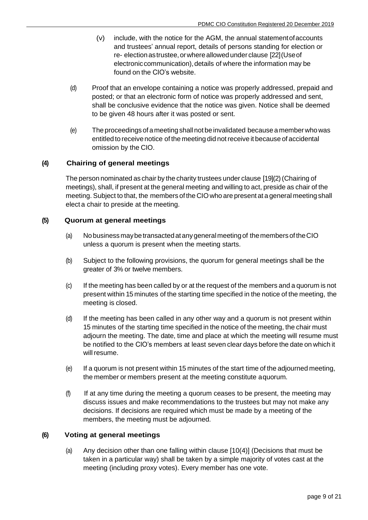- (v) include, with the notice for the AGM, the annual statementofaccounts and trustees' annual report, details of persons standing for election or re- election as trustee, or where allowed under clause [22] (Use of electronic communication), details of where the information may be found on the CIO's website.
- (d) Proof that an envelope containing a notice was properly addressed, prepaid and posted; or that an electronic form of notice was properly addressed and sent, shall be conclusive evidence that the notice was given. Notice shall be deemed to be given 48 hours after it was posted or sent.
- (e) The proceedings of ameeting shallnot be invalidated because a member whowas entitled to receive notice of the meeting did not receive it because of accidental omission by the CIO.

# **(4) Chairing of general meetings**

The person nominated as chair by the charity trustees under clause [19](2)(Chairing of meetings), shall, if present at the general meeting and willing to act, preside as chair of the meeting. Subject to that, the members of the CIO who are present at a general meeting shall elect a chair to preside at the meeting.

## **(5) Quorum at general meetings**

- (a) Nobusinessmaybetransactedatanygeneralmeetingof themembersoftheCIO unless a quorum is present when the meeting starts.
- (b) Subject to the following provisions, the quorum for general meetings shall be the greater of 3% or twelve members.
- (c) If the meeting has been called by or at the request of the members and a quorum is not present within 15 minutes of the starting time specified in the notice of the meeting, the meeting is closed.
- (d) If the meeting has been called in any other way and a quorum is not present within 15 minutes of the starting time specified in the notice of the meeting, the chair must adjourn the meeting. The date, time and place at which the meeting will resume must be notified to the CIO's members at least seven clear days before the date on which it will resume.
- (e) If a quorum is not present within 15 minutes of the start time of the adjourned meeting, the member or members present at the meeting constitute aquorum.
- (f) If at any time during the meeting a quorum ceases to be present, the meeting may discuss issues and make recommendations to the trustees but may not make any decisions. If decisions are required which must be made by a meeting of the members, the meeting must be adjourned.

## **(6) Voting at general meetings**

(a) Any decision other than one falling within clause [10(4)] (Decisions that must be taken in a particular way) shall be taken by a simple majority of votes cast at the meeting (including proxy votes). Every member has one vote.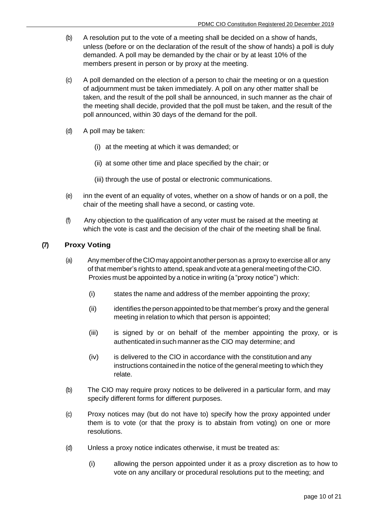- (b) A resolution put to the vote of a meeting shall be decided on a show of hands, unless (before or on the declaration of the result of the show of hands) a poll is duly demanded. A poll may be demanded by the chair or by at least 10% of the members present in person or by proxy at the meeting.
- (c) A poll demanded on the election of a person to chair the meeting or on a question of adjournment must be taken immediately. A poll on any other matter shall be taken, and the result of the poll shall be announced, in such manner as the chair of the meeting shall decide, provided that the poll must be taken, and the result of the poll announced, within 30 days of the demand for the poll.
- (d) A poll may be taken:
	- (i) at the meeting at which it was demanded; or
	- (ii) at some other time and place specified by the chair; or
	- (iii) through the use of postal or electronic communications.
- (e) inn the event of an equality of votes, whether on a show of hands or on a poll, the chair of the meeting shall have a second, or casting vote.
- (f) Any objection to the qualification of any voter must be raised at the meeting at which the vote is cast and the decision of the chair of the meeting shall be final.

### **(7) Proxy Voting**

- (a) AnymemberoftheCIOmayappointanotherpersonas a proxy to exercise all or any of that member's rights to attend, speak and voteata generalmeeting of theCIO. Proxies must be appointed by a notice in writing (a "proxy notice") which:
	- (i) states the name and address of the member appointing the proxy;
	- (ii) identifies the person appointed to be that member's proxy and the general meeting in relation to which that person is appointed;
	- (iii) is signed by or on behalf of the member appointing the proxy, or is authenticated in such manner as the CIO may determine; and
	- (iv) is delivered to the CIO in accordance with the constitution and any instructions contained in the notice of the general meeting to which they relate.
- (b) The CIO may require proxy notices to be delivered in a particular form, and may specify different forms for different purposes.
- (c) Proxy notices may (but do not have to) specify how the proxy appointed under them is to vote (or that the proxy is to abstain from voting) on one or more resolutions.
- (d) Unless a proxy notice indicates otherwise, it must be treated as:
	- (i) allowing the person appointed under it as a proxy discretion as to how to vote on any ancillary or procedural resolutions put to the meeting; and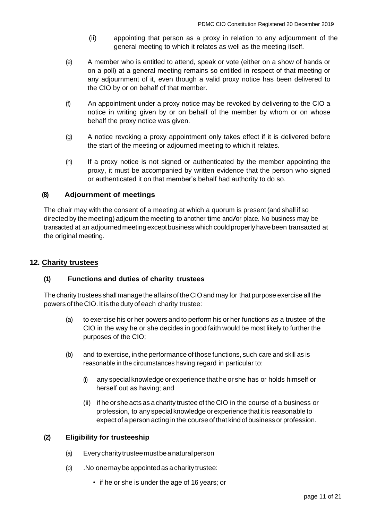- (ii) appointing that person as a proxy in relation to any adjournment of the general meeting to which it relates as well as the meeting itself.
- (e) A member who is entitled to attend, speak or vote (either on a show of hands or on a poll) at a general meeting remains so entitled in respect of that meeting or any adjournment of it, even though a valid proxy notice has been delivered to the CIO by or on behalf of that member.
- (f) An appointment under a proxy notice may be revoked by delivering to the CIO a notice in writing given by or on behalf of the member by whom or on whose behalf the proxy notice was given.
- (g) A notice revoking a proxy appointment only takes effect if it is delivered before the start of the meeting or adjourned meeting to which it relates.
- (h) If a proxy notice is not signed or authenticated by the member appointing the proxy, it must be accompanied by written evidence that the person who signed or authenticated it on that member's behalf had authority to do so.

## **(8) Adjournment of meetings**

The chair may with the consent of a meeting at which a quorum is present (and shall if so directed by the meeting) adjourn the meeting to another time and/or place. No business may be transacted at an adjourned meeting except business which could properly have been transacted at the original meeting.

# **12. Charity trustees**

## **(1) Functions and duties of charity trustees**

The charity trustees shall manage the affairs of the CIO and may for that purpose exercise all the powers of the CIO. It is the duty of each charity trustee:

- (a) to exercise his or her powers and to perform his or her functions as a trustee of the CIO in the way he or she decides in good faith would be most likely to further the purposes of the CIO;
- (b) and to exercise, in the performance of those functions, such care and skill as is reasonable in the circumstances having regard in particular to:
	- (i) any special knowledge or experience that he or she has or holds himself or herself out as having; and
	- (ii) if he or she acts as a charity trustee of the CIO in the course of a business or profession, to any special knowledge or experience that it is reasonable to expect of a person acting in the course of that kindof business or profession.

## **(2) Eligibility for trusteeship**

- (a) Everycharitytrusteemustbeanaturalperson
- (b) .No onemay be appointed as a charity trustee:
	- if he or she is under the age of 16 years; or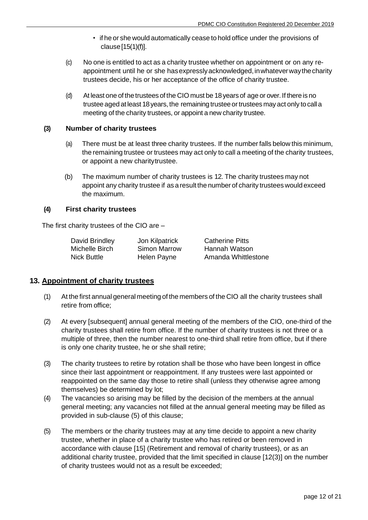- if he or she would automatically cease to hold office under the provisions of clause[15(1)(f)].
- (c) No one is entitled to act as a charity trustee whether on appointment or on any reappointment until he or she has expressly acknowledged, in whatever way the charity trustees decide, his or her acceptance of the office of charity trustee.
- (d) At least one of the trustees of the CIO must be 18years of age or over.If thereis no trustee aged at least 18 years, the remaining trustee or trustees may act only to call a meeting of the charity trustees, or appoint a new charity trustee.

#### **(3) Number of charity trustees**

- (a) There must be at least three charity trustees. If the number falls below this minimum, the remaining trustee or trustees may act only to call a meeting of the charity trustees, or appoint a new charitytrustee.
- (b) The maximum number of charity trustees is 12. The charity trustees may not appoint any charity trustee if as a result the number of charity trustees would exceed the maximum.

#### **(4) First charity trustees**

The first charity trustees of the CIO are –

| David Brindley | Jon Kilpatrick | <b>Catherine Pitts</b> |
|----------------|----------------|------------------------|
| Michelle Birch | Simon Marrow   | Hannah Watson          |
| Nick Buttle    | Helen Payne    | Amanda Whittlestone    |

### **13. Appointment of charity trustees**

- (1) At the first annual general meeting of the members of the CIO all the charity trustees shall retire from office;
- (2) At every [subsequent] annual general meeting of the members of the CIO, one-third of the charity trustees shall retire from office. If the number of charity trustees is not three or a multiple of three, then the number nearest to one-third shall retire from office, but if there is only one charity trustee, he or she shall retire;
- (3) The charity trustees to retire by rotation shall be those who have been longest in office since their last appointment or reappointment. If any trustees were last appointed or reappointed on the same day those to retire shall (unless they otherwise agree among themselves) be determined by lot;
- (4) The vacancies so arising may be filled by the decision of the members at the annual general meeting; any vacancies not filled at the annual general meeting may be filled as provided in sub-clause (5) of this clause;
- (5) The members or the charity trustees may at any time decide to appoint a new charity trustee, whether in place of a charity trustee who has retired or been removed in accordance with clause [15] (Retirement and removal of charity trustees), or as an additional charity trustee, provided that the limit specified in clause [12(3)] on the number of charity trustees would not as a result be exceeded;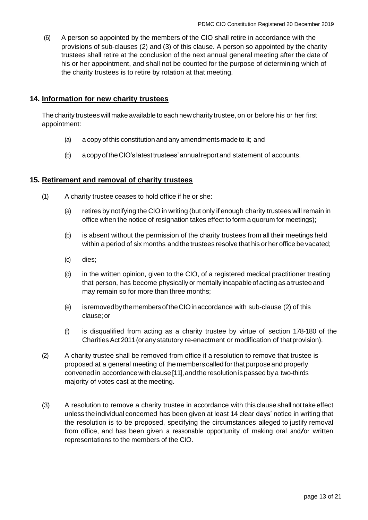(6) A person so appointed by the members of the CIO shall retire in accordance with the provisions of sub-clauses (2) and (3) of this clause. A person so appointed by the charity trustees shall retire at the conclusion of the next annual general meeting after the date of his or her appointment, and shall not be counted for the purpose of determining which of the charity trustees is to retire by rotation at that meeting.

### **14. Information for new charity trustees**

The charity trustees will make available to each newcharity trustee, on or before his or her first appointment:

- (a) a copy of this constitution and any amendments made to it; and
- (b) acopyoftheCIO'slatesttrustees'annualreportand statement of accounts.

#### **15. Retirement and removal of charity trustees**

- (1) A charity trustee ceases to hold office if he or she:
	- (a) retires by notifying the CIO in writing (but only if enough charity trustees will remain in office when the notice of resignation takes effect to form a quorum for meetings);
	- (b) is absent without the permission of the charity trustees from all their meetings held within a period of six months and the trustees resolve that his or her office be vacated;
	- (c) dies;
	- (d) in the written opinion, given to the CIO, of a registered medical practitioner treating that person, has become physically or mentally incapable of acting as a trustee and may remain so for more than three months;
	- (e) isremovedbythemembersoftheCIOinaccordance with sub-clause (2) of this clause; or
	- (f) is disqualified from acting as a charity trustee by virtue of section 178-180 of the Charities Act 2011 (or any statutory re-enactment or modification of that provision).
- (2) A charity trustee shall be removed from office if a resolution to remove that trustee is proposed at a general meeting of themembers calledforthatpurposeandproperly convened in accordance with clause [11], and the resolution is passed by a two-thirds majority of votes cast at the meeting.
- (3) A resolution to remove a charity trustee in accordance with this clause shall not takeeffect unless the individual concerned has been given at least 14 clear days' notice in writing that the resolution is to be proposed, specifying the circumstances alleged to justify removal from office, and has been given a reasonable opportunity of making oral and/or written representations to the members of the CIO.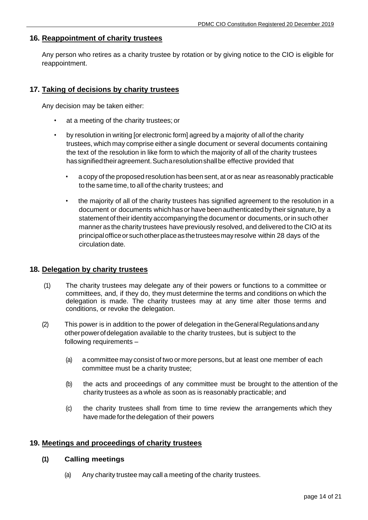## **16. Reappointment of charity trustees**

Any person who retires as a charity trustee by rotation or by giving notice to the CIO is eligible for reappointment.

### **17. Taking of decisions by charity trustees**

Any decision may be taken either:

- at a meeting of the charity trustees; or
- by resolution in writing [or electronic form] agreed by a majority of all of the charity trustees, which may comprise either a single document or several documents containing the text of the resolution in like form to which the majority of all of the charity trustees has signified their agreement. Such a resolution shall be effective provided that
	- a copy of the proposed resolution has been sent, at or as near as reasonably practicable to the same time, to all of the charity trustees; and
	- the majority of all of the charity trustees has signified agreement to the resolution in a document or documents which has or have been authenticatedby their signature, by a statement of theiridentity accompanying the document or documents, orin such other manner as the charity trustees have previously resolved, and delivered to the CIO at its principal office or such other place as the trustees may resolve within 28 days of the circulation date.

### **18. Delegation by charity trustees**

- (1) The charity trustees may delegate any of their powers or functions to a committee or committees, and, if they do, they must determine the terms and conditions on which the delegation is made. The charity trustees may at any time alter those terms and conditions, or revoke the delegation.
- (2) This power is in addition to the power of delegation in theGeneralRegulationsandany otherpowerofdelegation available to the charity trustees, but is subject to the following requirements –
	- (a) a committee may consist of two or more persons, but at least one member of each committee must be a charity trustee;
	- (b) the acts and proceedings of any committee must be brought to the attention of the charity trustees as a whole as soon as is reasonably practicable; and
	- (c) the charity trustees shall from time to time review the arrangements which they have made forthe delegation of their powers

## **19. Meetings and proceedings of charity trustees**

### **(1) Calling meetings**

(a) Any charity trustee may call a meeting of the charity trustees.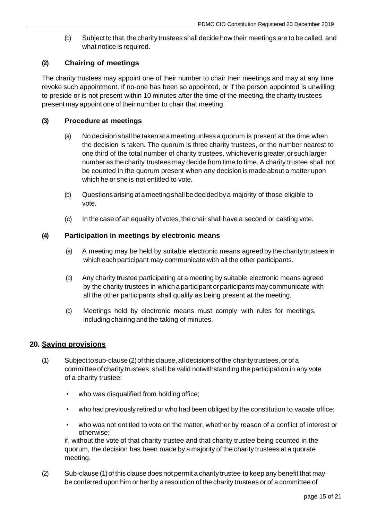(b) Subject to that, the charity trustees shall decide how their meetings are to be called, and what notice is required.

## **(2) Chairing of meetings**

The charity trustees may appoint one of their number to chair their meetings and may at any time revoke such appointment. If no-one has been so appointed, or if the person appointed is unwilling to preside or is not present within 10 minutes after the time of the meeting, the charity trustees present may appoint one of their number to chair that meeting.

### **(3) Procedure at meetings**

- (a) No decision shall be taken at a meeting unless a quorum is present at the time when the decision is taken. The quorum is three charity trustees, or the number nearest to one third of the total number of charity trustees, whicheveris greater,or such larger number as thecharity trustees may decide from time to time. A charity trustee shall not be counted in the quorum present when any decision is made about a matter upon which he or she is not entitled to vote.
- (b) Questionsarising atameeting shallbedecided bya majority of those eligible to vote.
- (c) In the case of an equality of votes, the chair shall have a second or casting vote.

### **(4) Participation in meetings by electronic means**

- (a) A meeting may be held by suitable electronic means agreed by the charity trustees in which each participant may communicate with all the other participants.
- (b) Any charity trustee participating at a meeting by suitable electronic means agreed by the charity trustees in which aparticipantorparticipantsmay communicate with all the other participants shall qualify as being present at the meeting.
- (c) Meetings held by electronic means must comply with rules for meetings, including chairing and the taking of minutes.

### **20. Saving provisions**

- (1) Subjectto sub-clause (2)of this clause,alldecisions ofthe charity trustees, or of a committee of charity trustees, shall be valid notwithstanding the participation in any vote of a charity trustee:
	- who was disqualified from holding office;
	- who had previously retired or who had been obliged by the constitution to vacate office;
	- who was not entitled to vote on the matter, whether by reason of a conflict of interest or otherwise;

if, without the vote of that charity trustee and that charity trustee being counted in the quorum, the decision has been made by a majority of the charity trustees at a quorate meeting.

(2) Sub-clause (1)of this clause does not permit a charity trustee to keep any benefit that may be conferred upon him or her by a resolution of the charity trustees or of a committee of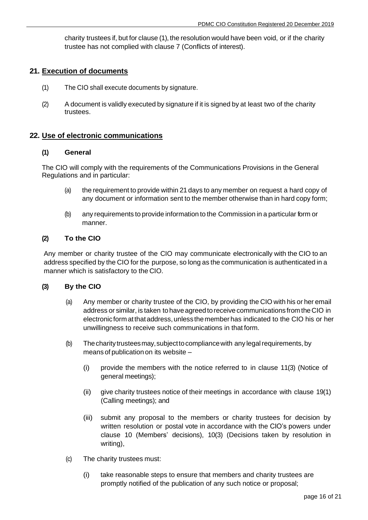charity trustees if, but for clause (1), the resolution would have been void, or if the charity trustee has not complied with clause 7 (Conflicts of interest).

### **21. Execution of documents**

- (1) The CIO shall execute documents by signature.
- (2) A document is validly executed by signature if it is signed by at least two of the charity trustees.

### **22. Use of electronic communications**

#### **(1) General**

The CIO will comply with the requirements of the Communications Provisions in the General Regulations and in particular:

- (a) the requirement to provide within 21 days to any member on request a hard copy of any document or information sent to the member otherwise than in hard copy form;
- (b) any requirements to provide information to the Commission in a particular form or manner.

### **(2) To the CIO**

Any member or charity trustee of the CIO may communicate electronically with the CIO to an address specified by the CIO for the purpose, so long as the communication is authenticated in a manner which is satisfactory to the CIO.

### **(3) By the CIO**

- (a) Any member or charity trustee of the CIO, by providing the CIO with his or her email address or similar, is taken to have agreed toreceive communications from theCIO in electronic form atthataddress,unless thememberhas indicated to the CIO his or her unwillingness to receive such communications in that form.
- (b) Thecharitytrusteesmay,subjecttocompliancewith any legalrequirements, by means of publication on its website –
	- (i) provide the members with the notice referred to in clause 11(3) (Notice of general meetings);
	- (ii) give charity trustees notice of their meetings in accordance with clause 19(1) (Calling meetings); and
	- (iii) submit any proposal to the members or charity trustees for decision by written resolution or postal vote in accordance with the CIO's powers under clause 10 (Members' decisions), 10(3) (Decisions taken by resolution in writing),
- (c) The charity trustees must:
	- (i) take reasonable steps to ensure that members and charity trustees are promptly notified of the publication of any such notice or proposal;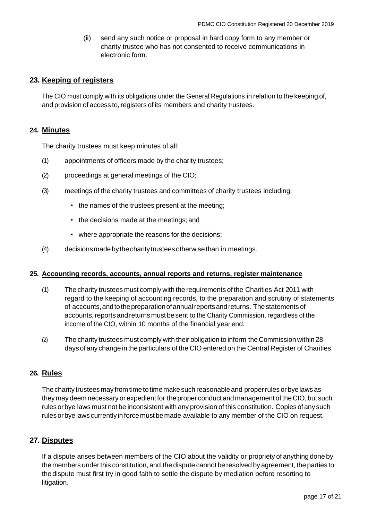(ii) send any such notice or proposal in hard copy form to any member or charity trustee who has not consented to receive communications in electronic form.

### **23. Keeping of registers**

The CIO must comply with its obligations under the General Regulations in relation to the keeping of, and provision of access to, registers of its members and charity trustees.

### **24. Minutes**

The charity trustees must keep minutes of all:

- (1) appointments of officers made by the charity trustees;
- (2) proceedings at general meetings of the CIO;
- (3) meetings of the charity trustees and committees of charity trustees including:
	- the names of the trustees present at the meeting;
	- the decisions made at the meetings;and
	- where appropriate the reasons for the decisions;
- (4) decisionsmadebythecharitytrusteesotherwisethan in meetings.

#### **25. Accounting records, accounts, annual reports and returns, register maintenance**

- (1) The charity trustees must comply with the requirements of the Charities Act 2011 with regard to the keeping of accounting records, to the preparation and scrutiny of statements of accounts, and to the preparation of annual reports and returns. The statements of accounts, reports and returns must be sent to the Charity Commission, regardless of the income of the CIO, within 10 months of the financial year end.
- (2) The charity trustees must comply with their obligation to inform theCommission within 28 days of any change in theparticulars of the CIO entered on the Central Register of Charities.

### **26. Rules**

The charity trustees may from time to time makesuch reasonable and properrules or byelaws as they may deem necessary or expedient for the proper conduct and management of the CIO, but such rules orbye laws must not be inconsistent with any provision of this constitution. Copies of any such rules orbyelaws currentlyin forcemust bemade available to any member of the CIO on request.

### **27. Disputes**

If a dispute arises between members of the CIO about the validity or propriety of anything done by the members under this constitution, and the dispute cannot be resolved by agreement, the parties to the dispute must first try in good faith to settle the dispute by mediation before resorting to litigation.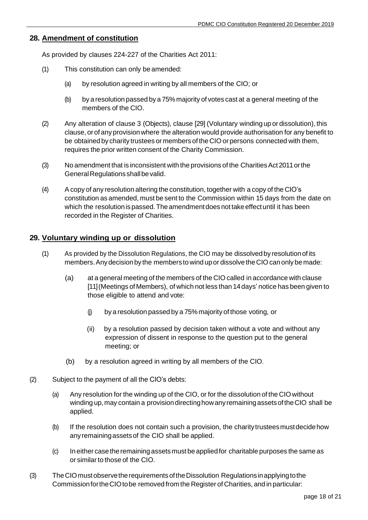### **28. Amendment of constitution**

As provided by clauses 224-227 of the Charities Act 2011:

- (1) This constitution can only be amended:
	- (a) by resolution agreed in writing by all members of the CIO; or
	- (b) by a resolution passed by a 75%majority of votes cast at a general meeting of the members of the CIO.
- (2) Any alteration of clause 3 (Objects), clause [29] (Voluntary windingup or dissolution), this clause, or of any provisionwhere the alteration would provide authorisation for any benefit to be obtained by charity trustees or members of theCIO or persons connected with them, requires the prior written consent of the Charity Commission.
- (3) No amendment that is inconsistent with the provisions of the Charities Act 2011 or the General Regulations shall be valid.
- (4) A copy of any resolution altering the constitution, together with a copy of the CIO's constitution as amended, must be sent to the Commission within 15 days from the date on which the resolution is passed. The amendment does not take effect until it has been recorded in the Register of Charities.

### **29. Voluntary winding up or dissolution**

- (1) As provided by the Dissolution Regulations, the CIO may be dissolvedby resolutionofits members.Anydecision by the members to wind upor dissolve theCIO can only be made:
	- (a) at a general meeting of the members of the CIO called in accordance with clause [11](Meetings of Members), of which not less than 14 days' notice has been given to those eligible to attend and vote:
		- (j) by a resolution passed by a 75%majority of those voting, or
		- (ii) by a resolution passed by decision taken without a vote and without any expression of dissent in response to the question put to the general meeting; or
	- (b) by a resolution agreed in writing by all members of the CIO.
- (2) Subject to the payment of all the CIO's debts:
	- (a) Any resolution for the winding up of the CIO, or for the dissolution of the CIOwithout winding up, may contain a provision directing how any remaining assets of the CIO shall be applied.
	- (b) If the resolution does not contain such a provision, the charitytrusteesmustdecidehow anyremainingassetsof the CIO shall be applied.
	- (c) In either case the remaining assets must be applied for charitable purposes the same as or similarto those of the CIO.
- (3) TheCIOmustobservetherequirementsoftheDissolution Regulationsinapplyingtothe CommissionfortheCIOtobe removed from the Register of Charities, and in particular: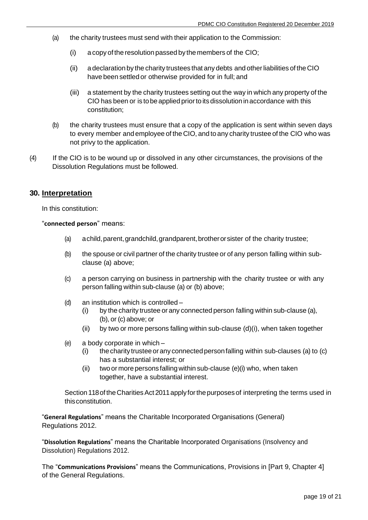- (a) the charity trustees must send with their application to the Commission:
	- (i) a copy of the resolution passed by the members of the CIO;
	- (ii) a declaration by the charity trustees that any debts and otherliabilities of theCIO have been settled or otherwise provided for in full; and
	- (iii) a statement by the charity trustees setting out the way in which any property of the CIO has been or is tobe appliedpriorto its dissolutionin accordance with this constitution;
- (b) the charity trustees must ensure that a copy of the application is sent within seven days to every member and employee of the CIO, and to any charity trustee of the CIO who was not privy to the application.
- (4) If the CIO is to be wound up or dissolved in any other circumstances, the provisions of the Dissolution Regulations must be followed.

#### **30. Interpretation**

In this constitution:

"**connected person**" means:

- (a) achild,parent,grandchild,grandparent,brotherorsister of the charity trustee;
- (b) the spouse or civil partner of the charity trustee or of any person falling within subclause (a) above;
- (c) a person carrying on business in partnership with the charity trustee or with any person falling within sub-clause (a) or (b) above;
- (d) an institution which is controlled
	- (i) by the charity trustee or any connected person falling within sub-clause (a), (b), or (c) above; or
	- (ii) by two or more persons falling within sub-clause (d)(i), when taken together
- (e) a body corporate in which
	- (i) thecharity trusteeorany connected personfalling within sub-clauses (a) to (c) has a substantial interest; or
	- (ii) two or more persons fallingwithin sub-clause (e)(i) who, when taken together, have a substantial interest.

Section 118 of the Charities Act 2011 apply for the purposes of interpreting the terms used in thisconstitution.

"**General Regulations**" means the Charitable Incorporated Organisations (General) Regulations 2012.

"**Dissolution Regulations**" means the Charitable Incorporated Organisations (Insolvency and Dissolution) Regulations 2012.

The "**Communications Provisions**" means the Communications, Provisions in [Part 9, Chapter 4] of the General Regulations.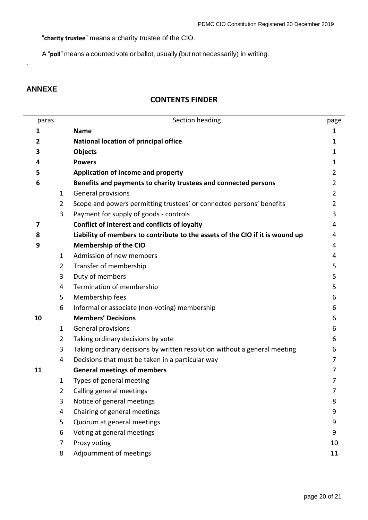"**charity trustee**" means a charity trustee of the CIO.

A "**poll**" means a counted vote or ballot, usually (but not necessarily) in writing.

# **ANNEXE**

.

# **CONTENTS FINDER**

| paras. |                | Section heading                                                               | page           |
|--------|----------------|-------------------------------------------------------------------------------|----------------|
| 1      |                | <b>Name</b>                                                                   | 1              |
| 2      |                | <b>National location of principal office</b>                                  | 1              |
| 3      |                | <b>Objects</b>                                                                | 1              |
| 4      |                | <b>Powers</b>                                                                 | 1              |
| 5      |                | Application of income and property                                            | $\overline{2}$ |
| 6      |                | Benefits and payments to charity trustees and connected persons               | $\overline{2}$ |
|        | $\mathbf{1}$   | General provisions                                                            | $\overline{2}$ |
|        | $\overline{2}$ | Scope and powers permitting trustees' or connected persons' benefits          | $\overline{2}$ |
|        | 3              | Payment for supply of goods - controls                                        | 3              |
| 7      |                | <b>Conflict of Interest and conflicts of loyalty</b>                          | 4              |
| 8      |                | Liability of members to contribute to the assets of the CIO if it is wound up | 4              |
| 9      |                | <b>Membership of the CIO</b>                                                  | 4              |
|        | $\mathbf{1}$   | Admission of new members                                                      | 4              |
|        | $\overline{2}$ | Transfer of membership                                                        | 5              |
|        | 3              | Duty of members                                                               | 5              |
|        | 4              | Termination of membership                                                     | 5              |
|        | 5              | Membership fees                                                               | 6              |
|        | 6              | Informal or associate (non-voting) membership                                 | 6              |
| 10     |                | <b>Members' Decisions</b>                                                     | 6              |
|        | $\mathbf{1}$   | General provisions                                                            | 6              |
|        | $\overline{2}$ | Taking ordinary decisions by vote                                             | 6              |
|        | 3              | Taking ordinary decisions by written resolution without a general meeting     | 6              |
|        | 4              | Decisions that must be taken in a particular way                              | 7              |
| 11     |                | <b>General meetings of members</b>                                            | 7              |
|        | 1              | Types of general meeting                                                      |                |
|        | 2 <sup>1</sup> | Calling general meetings                                                      | 7              |
|        | 3              | Notice of general meetings                                                    | 8              |
|        | 4              | Chairing of general meetings                                                  | 9              |
|        | 5              | Quorum at general meetings                                                    | 9              |
|        | 6              | Voting at general meetings                                                    | 9              |
|        | 7              | Proxy voting                                                                  | 10             |
|        | 8              | Adjournment of meetings                                                       | 11             |